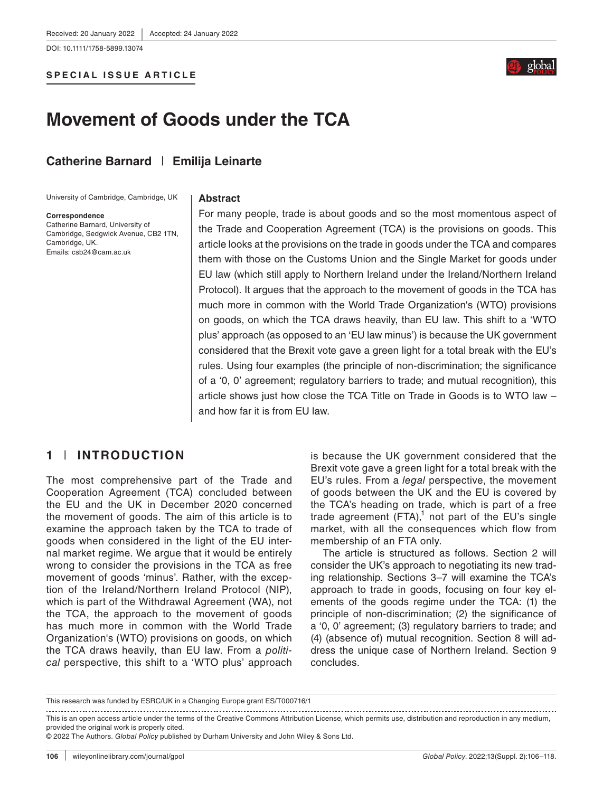DOI: 10.1111/1758-5899.13074

#### **SPECIAL ISSUE ARTICLE**



# **Movement of Goods under the TCA**

## **Catherine Barnard** | **Emilija Leinarte**

University of Cambridge, Cambridge, UK

#### **Abstract**

**Correspondence**

Catherine Barnard, University of Cambridge, Sedgwick Avenue, CB2 1TN, Cambridge, UK. Emails: [csb24@cam.ac.uk](mailto:csb24@cam.ac.uk)

For many people, trade is about goods and so the most momentous aspect of the Trade and Cooperation Agreement (TCA) is the provisions on goods. This article looks at the provisions on the trade in goods under the TCA and compares them with those on the Customs Union and the Single Market for goods under EU law (which still apply to Northern Ireland under the Ireland/Northern Ireland Protocol). It argues that the approach to the movement of goods in the TCA has much more in common with the World Trade Organization's (WTO) provisions on goods, on which the TCA draws heavily, than EU law. This shift to a 'WTO plus' approach (as opposed to an 'EU law minus') is because the UK government considered that the Brexit vote gave a green light for a total break with the EU's rules. Using four examples (the principle of non-discrimination; the significance of a '0, 0' agreement; regulatory barriers to trade; and mutual recognition), this article shows just how close the TCA Title on Trade in Goods is to WTO law – and how far it is from EU law.

# **1** | **INTRODUCTION**

The most comprehensive part of the Trade and Cooperation Agreement (TCA) concluded between the EU and the UK in December 2020 concerned the movement of goods. The aim of this article is to examine the approach taken by the TCA to trade of goods when considered in the light of the EU internal market regime. We argue that it would be entirely wrong to consider the provisions in the TCA as free movement of goods 'minus'. Rather, with the exception of the Ireland/Northern Ireland Protocol (NIP), which is part of the Withdrawal Agreement (WA), not the TCA, the approach to the movement of goods has much more in common with the World Trade Organization's (WTO) provisions on goods, on which the TCA draws heavily, than EU law. From a *political* perspective, this shift to a 'WTO plus' approach is because the UK government considered that the Brexit vote gave a green light for a total break with the EU's rules. From a *legal* perspective, the movement of goods between the UK and the EU is covered by the TCA's heading on trade, which is part of a free trade agreement  $(FTA)$ ,<sup>1</sup> not part of the EU's single market, with all the consequences which flow from membership of an FTA only.

The article is structured as follows. Section 2 will consider the UK's approach to negotiating its new trading relationship. Sections 3–7 will examine the TCA's approach to trade in goods, focusing on four key elements of the goods regime under the TCA: (1) the principle of non-discrimination; (2) the significance of a '0, 0' agreement; (3) regulatory barriers to trade; and (4) (absence of) mutual recognition. Section 8 will address the unique case of Northern Ireland. Section 9 concludes.

This is an open access article under the terms of the [Creative Commons Attribution](http://creativecommons.org/licenses/by/4.0/) License, which permits use, distribution and reproduction in any medium, provided the original work is properly cited.

© 2022 The Authors. *Global Policy* published by Durham University and John Wiley & Sons Ltd.

This research was funded by ESRC/UK in a Changing Europe grant ES/T000716/1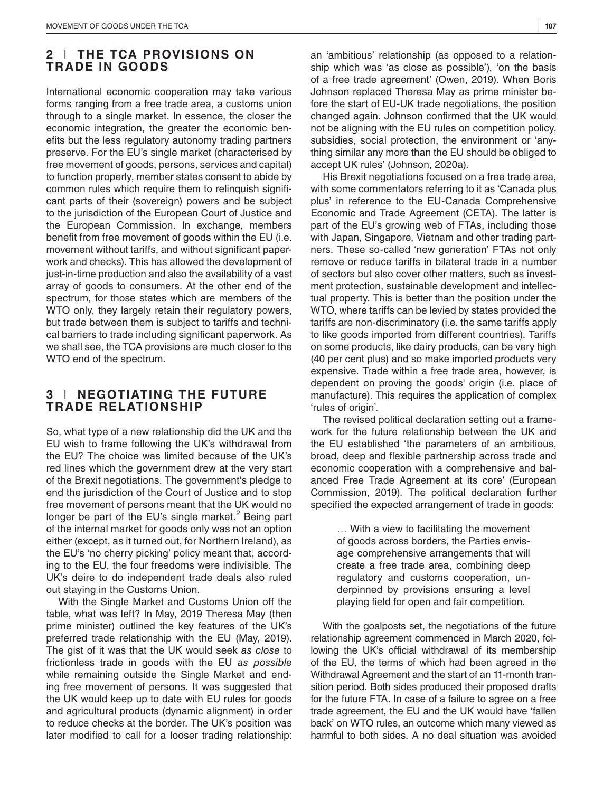## **2** | **THE TCA PROVISIONS ON TRADE IN GOODS**

International economic cooperation may take various forms ranging from a free trade area, a customs union through to a single market. In essence, the closer the economic integration, the greater the economic benefits but the less regulatory autonomy trading partners preserve. For the EU's single market (characterised by free movement of goods, persons, services and capital) to function properly, member states consent to abide by common rules which require them to relinquish significant parts of their (sovereign) powers and be subject to the jurisdiction of the European Court of Justice and the European Commission. In exchange, members benefit from free movement of goods within the EU (i.e. movement without tariffs, and without significant paperwork and checks). This has allowed the development of just-in-time production and also the availability of a vast array of goods to consumers. At the other end of the spectrum, for those states which are members of the WTO only, they largely retain their regulatory powers, but trade between them is subject to tariffs and technical barriers to trade including significant paperwork. As we shall see, the TCA provisions are much closer to the WTO end of the spectrum.

## **3** | **NEGOTIATING THE FUTURE TRADE RELATIONSHIP**

So, what type of a new relationship did the UK and the EU wish to frame following the UK's withdrawal from the EU? The choice was limited because of the UK's red lines which the government drew at the very start of the Brexit negotiations. The government's pledge to end the jurisdiction of the Court of Justice and to stop free movement of persons meant that the UK would no longer be part of the EU's single market.<sup>2</sup> Being part of the internal market for goods only was not an option either (except, as it turned out, for Northern Ireland), as the EU's 'no cherry picking' policy meant that, according to the EU, the four freedoms were indivisible. The UK's deire to do independent trade deals also ruled out staying in the Customs Union.

With the Single Market and Customs Union off the table, what was left? In May, 2019 Theresa May (then prime minister) outlined the key features of the UK's preferred trade relationship with the EU (May, 2019). The gist of it was that the UK would seek *as close* to frictionless trade in goods with the EU *as possible* while remaining outside the Single Market and ending free movement of persons. It was suggested that the UK would keep up to date with EU rules for goods and agricultural products (dynamic alignment) in order to reduce checks at the border. The UK's position was later modified to call for a looser trading relationship:

an 'ambitious' relationship (as opposed to a relationship which was 'as close as possible'), 'on the basis of a free trade agreement' (Owen, 2019). When Boris Johnson replaced Theresa May as prime minister before the start of EU-UK trade negotiations, the position changed again. Johnson confirmed that the UK would not be aligning with the EU rules on competition policy, subsidies, social protection, the environment or 'anything similar any more than the EU should be obliged to accept UK rules' (Johnson, 2020a).

His Brexit negotiations focused on a free trade area, with some commentators referring to it as 'Canada plus plus' in reference to the EU-Canada Comprehensive Economic and Trade Agreement (CETA). The latter is part of the EU's growing web of FTAs, including those with Japan, Singapore, Vietnam and other trading partners. These so-called 'new generation' FTAs not only remove or reduce tariffs in bilateral trade in a number of sectors but also cover other matters, such as investment protection, sustainable development and intellectual property. This is better than the position under the WTO, where tariffs can be levied by states provided the tariffs are non-discriminatory (i.e. the same tariffs apply to like goods imported from different countries). Tariffs on some products, like dairy products, can be very high (40 per cent plus) and so make imported products very expensive. Trade within a free trade area, however, is dependent on proving the goods' origin (i.e. place of manufacture). This requires the application of complex 'rules of origin'.

The revised political declaration setting out a framework for the future relationship between the UK and the EU established 'the parameters of an ambitious, broad, deep and flexible partnership across trade and economic cooperation with a comprehensive and balanced Free Trade Agreement at its core' (European Commission, 2019). The political declaration further specified the expected arrangement of trade in goods:

> … With a view to facilitating the movement of goods across borders, the Parties envisage comprehensive arrangements that will create a free trade area, combining deep regulatory and customs cooperation, underpinned by provisions ensuring a level playing field for open and fair competition.

With the goalposts set, the negotiations of the future relationship agreement commenced in March 2020, following the UK's official withdrawal of its membership of the EU, the terms of which had been agreed in the Withdrawal Agreement and the start of an 11-month transition period. Both sides produced their proposed drafts for the future FTA. In case of a failure to agree on a free trade agreement, the EU and the UK would have 'fallen back' on WTO rules, an outcome which many viewed as harmful to both sides. A no deal situation was avoided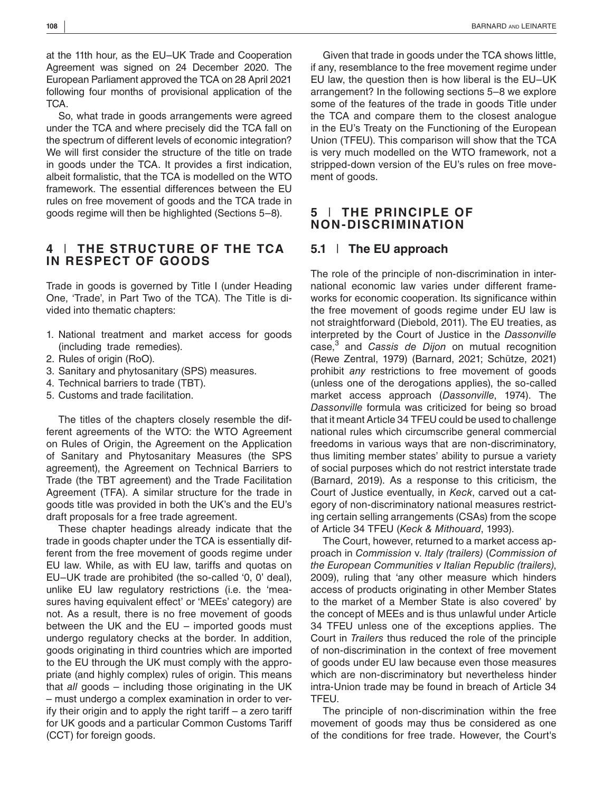at the 11th hour, as the EU–UK Trade and Cooperation Agreement was signed on 24 December 2020. The European Parliament approved the TCA on 28 April 2021 following four months of provisional application of the TCA.

So, what trade in goods arrangements were agreed under the TCA and where precisely did the TCA fall on the spectrum of different levels of economic integration? We will first consider the structure of the title on trade in goods under the TCA. It provides a first indication, albeit formalistic, that the TCA is modelled on the WTO framework. The essential differences between the EU rules on free movement of goods and the TCA trade in goods regime will then be highlighted (Sections 5–8).

## **4** | **THE STRUCTURE OF THE TCA IN RESPECT OF GOODS**

Trade in goods is governed by Title I (under Heading One, 'Trade', in Part Two of the TCA). The Title is divided into thematic chapters:

- 1. National treatment and market access for goods (including trade remedies).
- 2. Rules of origin (RoO).
- 3. Sanitary and phytosanitary (SPS) measures.
- 4. Technical barriers to trade (TBT).
- 5. Customs and trade facilitation.

The titles of the chapters closely resemble the different agreements of the WTO: the WTO Agreement on Rules of Origin, the Agreement on the Application of Sanitary and Phytosanitary Measures (the SPS agreement), the Agreement on Technical Barriers to Trade (the TBT agreement) and the Trade Facilitation Agreement (TFA). A similar structure for the trade in goods title was provided in both the UK's and the EU's draft proposals for a free trade agreement.

These chapter headings already indicate that the trade in goods chapter under the TCA is essentially different from the free movement of goods regime under EU law. While, as with EU law, tariffs and quotas on EU–UK trade are prohibited (the so-called '0, 0' deal), unlike EU law regulatory restrictions (i.e. the 'measures having equivalent effect' or 'MEEs' category) are not. As a result, there is no free movement of goods between the UK and the EU – imported goods must undergo regulatory checks at the border. In addition, goods originating in third countries which are imported to the EU through the UK must comply with the appropriate (and highly complex) rules of origin. This means that *all* goods – including those originating in the UK – must undergo a complex examination in order to verify their origin and to apply the right tariff – a zero tariff for UK goods and a particular Common Customs Tariff (CCT) for foreign goods.

Given that trade in goods under the TCA shows little, if any, resemblance to the free movement regime under EU law, the question then is how liberal is the EU–UK arrangement? In the following sections 5–8 we explore some of the features of the trade in goods Title under the TCA and compare them to the closest analogue in the EU's Treaty on the Functioning of the European Union (TFEU). This comparison will show that the TCA is very much modelled on the WTO framework, not a stripped-down version of the EU's rules on free movement of goods.

## **5** | **THE PRINCIPLE OF NON-DISCRIMINATION**

## **5.1** | **The EU approach**

The role of the principle of non-discrimination in international economic law varies under different frameworks for economic cooperation. Its significance within the free movement of goods regime under EU law is not straightforward (Diebold, 2011). The EU treaties, as interpreted by the Court of Justice in the *Dassonville* case,<sup>3</sup> and *Cassis de Dijon* on mutual recognition (Rewe Zentral, 1979) (Barnard, 2021; Schütze, 2021) prohibit *any* restrictions to free movement of goods (unless one of the derogations applies), the so-called market access approach (*Dassonville*, 1974). The *Dassonville* formula was criticized for being so broad that it meant Article 34 TFEU could be used to challenge national rules which circumscribe general commercial freedoms in various ways that are non-discriminatory, thus limiting member states' ability to pursue a variety of social purposes which do not restrict interstate trade (Barnard, 2019). As a response to this criticism, the Court of Justice eventually, in *Keck*, carved out a category of non-discriminatory national measures restricting certain selling arrangements (CSAs) from the scope of Article 34 TFEU (*Keck & Mithouard*, 1993).

The Court, however, returned to a market access approach in *Commission* v. *Italy (trailers)* (*Commission of the European Communities v Italian Republic (trailers)*, 2009), ruling that 'any other measure which hinders access of products originating in other Member States to the market of a Member State is also covered' by the concept of MEEs and is thus unlawful under Article 34 TFEU unless one of the exceptions applies. The Court in *Trailers* thus reduced the role of the principle of non-discrimination in the context of free movement of goods under EU law because even those measures which are non-discriminatory but nevertheless hinder intra-Union trade may be found in breach of Article 34 TFEU.

The principle of non-discrimination within the free movement of goods may thus be considered as one of the conditions for free trade. However, the Court's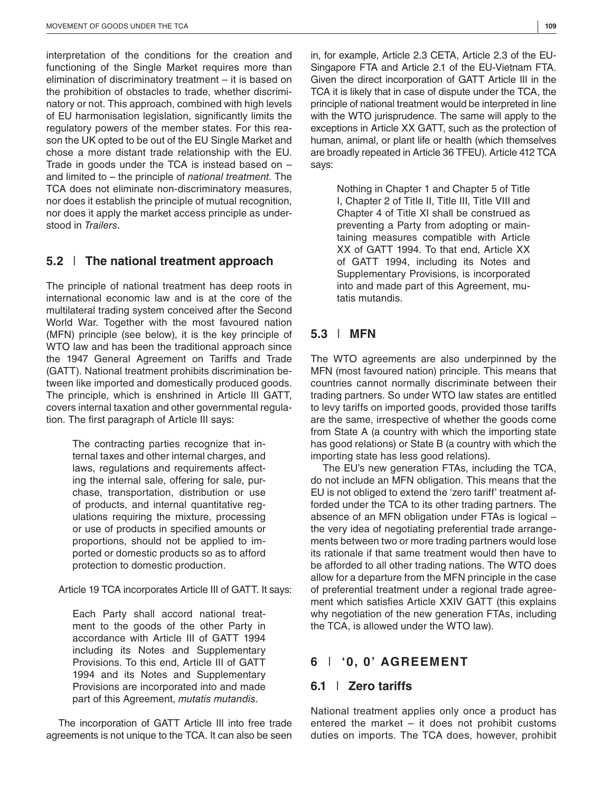interpretation of the conditions for the creation and functioning of the Single Market requires more than elimination of discriminatory treatment – it is based on the prohibition of obstacles to trade, whether discriminatory or not. This approach, combined with high levels of EU harmonisation legislation, significantly limits the regulatory powers of the member states. For this reason the UK opted to be out of the EU Single Market and chose a more distant trade relationship with the EU. Trade in goods under the TCA is instead based on  $$ and limited to – the principle of *national treatment*. The TCA does not eliminate non-discriminatory measures, nor does it establish the principle of mutual recognition, nor does it apply the market access principle as understood in *Trailers*.

## **5.2** | **The national treatment approach**

The principle of national treatment has deep roots in international economic law and is at the core of the multilateral trading system conceived after the Second World War. Together with the most favoured nation (MFN) principle (see below), it is the key principle of WTO law and has been the traditional approach since the 1947 General Agreement on Tariffs and Trade (GATT). National treatment prohibits discrimination between like imported and domestically produced goods. The principle, which is enshrined in Article III GATT, covers internal taxation and other governmental regulation. The first paragraph of Article III says:

> The contracting parties recognize that internal taxes and other internal charges, and laws, regulations and requirements affecting the internal sale, offering for sale, purchase, transportation, distribution or use of products, and internal quantitative regulations requiring the mixture, processing or use of products in specified amounts or proportions, should not be applied to imported or domestic products so as to afford protection to domestic production.

Article 19 TCA incorporates Article III of GATT. It says:

Each Party shall accord national treatment to the goods of the other Party in accordance with Article III of GATT 1994 including its Notes and Supplementary Provisions. To this end, Article III of GATT 1994 and its Notes and Supplementary Provisions are incorporated into and made part of this Agreement, *mutatis mutandis*.

The incorporation of GATT Article III into free trade agreements is not unique to the TCA. It can also be seen in, for example, Article 2.3 CETA, Article 2.3 of the EU-Singapore FTA and Article 2.1 of the EU-Vietnam FTA. Given the direct incorporation of GATT Article III in the TCA it is likely that in case of dispute under the TCA, the principle of national treatment would be interpreted in line with the WTO jurisprudence. The same will apply to the exceptions in Article XX GATT, such as the protection of human, animal, or plant life or health (which themselves are broadly repeated in Article 36 TFEU). Article 412 TCA says:

Nothing in Chapter 1 and Chapter 5 of Title I, Chapter 2 of Title II, Title III, Title VIII and Chapter 4 of Title XI shall be construed as preventing a Party from adopting or maintaining measures compatible with Article XX of GATT 1994. To that end, Article XX of GATT 1994, including its Notes and Supplementary Provisions, is incorporated into and made part of this Agreement, mutatis mutandis.

## **5.3** | **MFN**

The WTO agreements are also underpinned by the MFN (most favoured nation) principle. This means that countries cannot normally discriminate between their trading partners. So under WTO law states are entitled to levy tariffs on imported goods, provided those tariffs are the same, irrespective of whether the goods come from State A (a country with which the importing state has good relations) or State B (a country with which the importing state has less good relations).

The EU's new generation FTAs, including the TCA, do not include an MFN obligation. This means that the EU is not obliged to extend the 'zero tariff' treatment afforded under the TCA to its other trading partners. The absence of an MFN obligation under FTAs is logical – the very idea of negotiating preferential trade arrangements between two or more trading partners would lose its rationale if that same treatment would then have to be afforded to all other trading nations. The WTO does allow for a departure from the MFN principle in the case of preferential treatment under a regional trade agreement which satisfies Article XXIV GATT (this explains why negotiation of the new generation FTAs, including the TCA, is allowed under the WTO law).

## **6** | **'0, 0' AGREEMENT**

#### **6.1** | **Zero tariffs**

National treatment applies only once a product has entered the market – it does not prohibit customs duties on imports. The TCA does, however, prohibit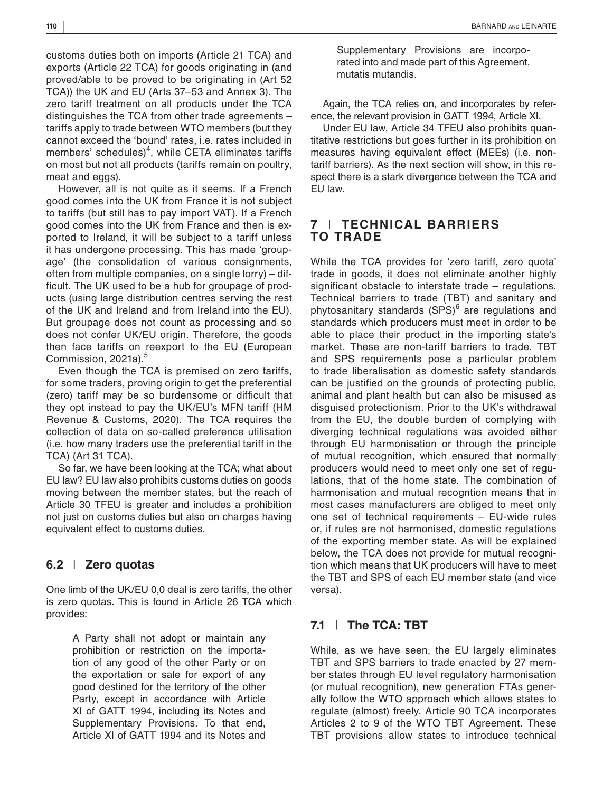customs duties both on imports (Article 21 TCA) and exports (Article 22 TCA) for goods originating in (and proved/able to be proved to be originating in (Art 52 TCA)) the UK and EU (Arts 37–53 and Annex 3). The zero tariff treatment on all products under the TCA distinguishes the TCA from other trade agreements – tariffs apply to trade between WTO members (but they cannot exceed the 'bound' rates, i.e. rates included in members' schedules) $<sup>4</sup>$ , while CETA eliminates tariffs</sup> on most but not all products (tariffs remain on poultry, meat and eggs).

However, all is not quite as it seems. If a French good comes into the UK from France it is not subject to tariffs (but still has to pay import VAT). If a French good comes into the UK from France and then is exported to Ireland, it will be subject to a tariff unless it has undergone processing. This has made 'groupage' (the consolidation of various consignments, often from multiple companies, on a single lorry) – difficult. The UK used to be a hub for groupage of products (using large distribution centres serving the rest of the UK and Ireland and from Ireland into the EU). But groupage does not count as processing and so does not confer UK/EU origin. Therefore, the goods then face tariffs on reexport to the EU (European Commission, 2021a).<sup>5</sup>

Even though the TCA is premised on zero tariffs, for some traders, proving origin to get the preferential (zero) tariff may be so burdensome or difficult that they opt instead to pay the UK/EU's MFN tariff (HM Revenue & Customs, 2020). The TCA requires the collection of data on so-called preference utilisation (i.e. how many traders use the preferential tariff in the TCA) (Art 31 TCA).

So far, we have been looking at the TCA; what about EU law? EU law also prohibits customs duties on goods moving between the member states, but the reach of Article 30 TFEU is greater and includes a prohibition not just on customs duties but also on charges having equivalent effect to customs duties.

#### **6.2** | **Zero quotas**

One limb of the UK/EU 0,0 deal is zero tariffs, the other is zero quotas. This is found in Article 26 TCA which provides:

> A Party shall not adopt or maintain any prohibition or restriction on the importation of any good of the other Party or on the exportation or sale for export of any good destined for the territory of the other Party, except in accordance with Article XI of GATT 1994, including its Notes and Supplementary Provisions. To that end, Article XI of GATT 1994 and its Notes and

Supplementary Provisions are incorporated into and made part of this Agreement, mutatis mutandis.

Again, the TCA relies on, and incorporates by reference, the relevant provision in GATT 1994, Article XI.

Under EU law, Article 34 TFEU also prohibits quantitative restrictions but goes further in its prohibition on measures having equivalent effect (MEEs) (i.e. nontariff barriers). As the next section will show, in this respect there is a stark divergence between the TCA and EU law.

## **7** | **TECHNICAL BARRIERS TO TRADE**

While the TCA provides for 'zero tariff, zero quota' trade in goods, it does not eliminate another highly significant obstacle to interstate trade – regulations. Technical barriers to trade (TBT) and sanitary and phytosanitary standards (SPS)<sup>6</sup> are regulations and standards which producers must meet in order to be able to place their product in the importing state's market. These are non-tariff barriers to trade. TBT and SPS requirements pose a particular problem to trade liberalisation as domestic safety standards can be justified on the grounds of protecting public, animal and plant health but can also be misused as disguised protectionism. Prior to the UK's withdrawal from the EU, the double burden of complying with diverging technical regulations was avoided either through EU harmonisation or through the principle of mutual recognition, which ensured that normally producers would need to meet only one set of regulations, that of the home state. The combination of harmonisation and mutual recogntion means that in most cases manufacturers are obliged to meet only one set of technical requirements – EU-wide rules or, if rules are not harmonised, domestic regulations of the exporting member state. As will be explained below, the TCA does not provide for mutual recognition which means that UK producers will have to meet the TBT and SPS of each EU member state (and vice versa).

# **7.1** | **The TCA: TBT**

While, as we have seen, the EU largely eliminates TBT and SPS barriers to trade enacted by 27 member states through EU level regulatory harmonisation (or mutual recognition), new generation FTAs generally follow the WTO approach which allows states to regulate (almost) freely. Article 90 TCA incorporates Articles 2 to 9 of the WTO TBT Agreement. These TBT provisions allow states to introduce technical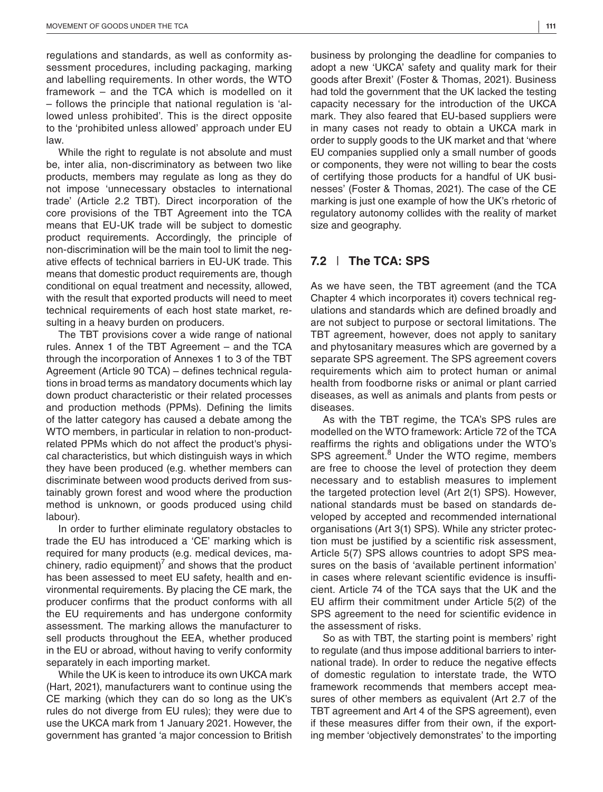regulations and standards, as well as conformity assessment procedures, including packaging, marking and labelling requirements. In other words, the WTO framework – and the TCA which is modelled on it – follows the principle that national regulation is 'allowed unless prohibited'. This is the direct opposite to the 'prohibited unless allowed' approach under EU law.

While the right to regulate is not absolute and must be, inter alia, non-discriminatory as between two like products, members may regulate as long as they do not impose 'unnecessary obstacles to international trade' (Article 2.2 TBT). Direct incorporation of the core provisions of the TBT Agreement into the TCA means that EU-UK trade will be subject to domestic product requirements. Accordingly, the principle of non-discrimination will be the main tool to limit the negative effects of technical barriers in EU-UK trade. This means that domestic product requirements are, though conditional on equal treatment and necessity, allowed, with the result that exported products will need to meet technical requirements of each host state market, resulting in a heavy burden on producers.

The TBT provisions cover a wide range of national rules. Annex 1 of the TBT Agreement – and the TCA through the incorporation of Annexes 1 to 3 of the TBT Agreement (Article 90 TCA) – defines technical regulations in broad terms as mandatory documents which lay down product characteristic or their related processes and production methods (PPMs). Defining the limits of the latter category has caused a debate among the WTO members, in particular in relation to non-productrelated PPMs which do not affect the product's physical characteristics, but which distinguish ways in which they have been produced (e.g. whether members can discriminate between wood products derived from sustainably grown forest and wood where the production method is unknown, or goods produced using child labour).

In order to further eliminate regulatory obstacles to trade the EU has introduced a 'CE' marking which is required for many products (e.g. medical devices, machinery, radio equipment) $7$  and shows that the product has been assessed to meet EU safety, health and environmental requirements. By placing the CE mark, the producer confirms that the product conforms with all the EU requirements and has undergone conformity assessment. The marking allows the manufacturer to sell products throughout the EEA, whether produced in the EU or abroad, without having to verify conformity separately in each importing market.

While the UK is keen to introduce its own UKCA mark (Hart, 2021), manufacturers want to continue using the CE marking (which they can do so long as the UK's rules do not diverge from EU rules); they were due to use the UKCA mark from 1 January 2021. However, the government has granted 'a major concession to British

business by prolonging the deadline for companies to adopt a new 'UKCA' safety and quality mark for their goods after Brexit' (Foster & Thomas, 2021). Business had told the government that the UK lacked the testing capacity necessary for the introduction of the UKCA mark. They also feared that EU-based suppliers were in many cases not ready to obtain a UKCA mark in order to supply goods to the UK market and that 'where EU companies supplied only a small number of goods or components, they were not willing to bear the costs of certifying those products for a handful of UK businesses' (Foster & Thomas, 2021). The case of the CE marking is just one example of how the UK's rhetoric of regulatory autonomy collides with the reality of market size and geography.

## **7.2** | **The TCA: SPS**

As we have seen, the TBT agreement (and the TCA Chapter 4 which incorporates it) covers technical regulations and standards which are defined broadly and are not subject to purpose or sectoral limitations. The TBT agreement, however, does not apply to sanitary and phytosanitary measures which are governed by a separate SPS agreement. The SPS agreement covers requirements which aim to protect human or animal health from foodborne risks or animal or plant carried diseases, as well as animals and plants from pests or diseases.

As with the TBT regime, the TCA's SPS rules are modelled on the WTO framework: Article 72 of the TCA reaffirms the rights and obligations under the WTO's SPS agreement.<sup>8</sup> Under the WTO regime, members are free to choose the level of protection they deem necessary and to establish measures to implement the targeted protection level (Art 2(1) SPS). However, national standards must be based on standards developed by accepted and recommended international organisations (Art 3(1) SPS). While any stricter protection must be justified by a scientific risk assessment, Article 5(7) SPS allows countries to adopt SPS measures on the basis of 'available pertinent information' in cases where relevant scientific evidence is insufficient. Article 74 of the TCA says that the UK and the EU affirm their commitment under Article 5(2) of the SPS agreement to the need for scientific evidence in the assessment of risks.

So as with TBT, the starting point is members' right to regulate (and thus impose additional barriers to international trade). In order to reduce the negative effects of domestic regulation to interstate trade, the WTO framework recommends that members accept measures of other members as equivalent (Art 2.7 of the TBT agreement and Art 4 of the SPS agreement), even if these measures differ from their own, if the exporting member 'objectively demonstrates' to the importing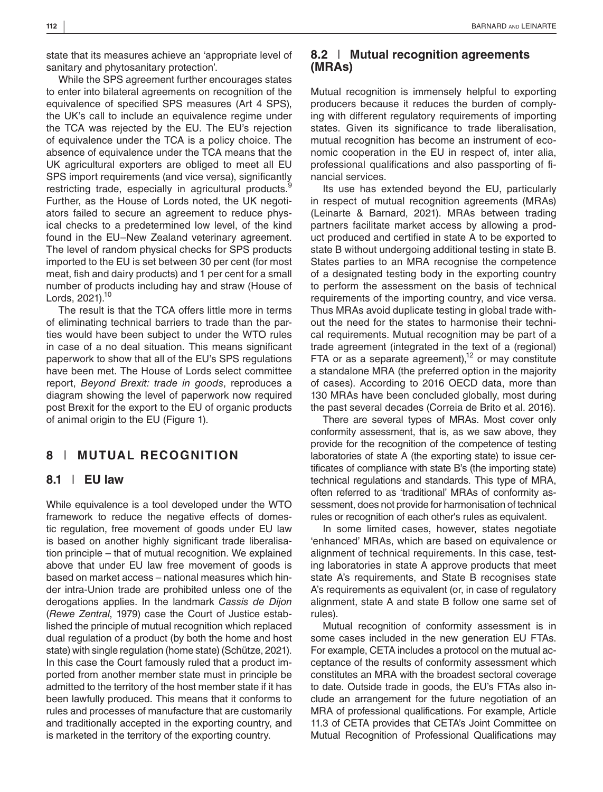state that its measures achieve an 'appropriate level of sanitary and phytosanitary protection'.

While the SPS agreement further encourages states to enter into bilateral agreements on recognition of the equivalence of specified SPS measures (Art 4 SPS), the UK's call to include an equivalence regime under the TCA was rejected by the EU. The EU's rejection of equivalence under the TCA is a policy choice. The absence of equivalence under the TCA means that the UK agricultural exporters are obliged to meet all EU SPS import requirements (and vice versa), significantly restricting trade, especially in agricultural products.<sup>8</sup> Further, as the House of Lords noted, the UK negotiators failed to secure an agreement to reduce physical checks to a predetermined low level, of the kind found in the EU–New Zealand veterinary agreement. The level of random physical checks for SPS products imported to the EU is set between 30 per cent (for most meat, fish and dairy products) and 1 per cent for a small number of products including hay and straw (House of Lords,  $2021$ ).<sup>10</sup>

The result is that the TCA offers little more in terms of eliminating technical barriers to trade than the parties would have been subject to under the WTO rules in case of a no deal situation. This means significant paperwork to show that all of the EU's SPS regulations have been met. The House of Lords select committee report, *Beyond Brexit: trade in goods*, reproduces a diagram showing the level of paperwork now required post Brexit for the export to the EU of organic products of animal origin to the EU (Figure 1).

## **8** | **MUTUAL RECOGNITION**

#### **8.1** | **EU law**

While equivalence is a tool developed under the WTO framework to reduce the negative effects of domestic regulation, free movement of goods under EU law is based on another highly significant trade liberalisation principle – that of mutual recognition. We explained above that under EU law free movement of goods is based on market access – national measures which hinder intra-Union trade are prohibited unless one of the derogations applies. In the landmark *Cassis de Dijon* (*Rewe Zentral*, 1979) case the Court of Justice established the principle of mutual recognition which replaced dual regulation of a product (by both the home and host state) with single regulation (home state) (Schütze, 2021). In this case the Court famously ruled that a product imported from another member state must in principle be admitted to the territory of the host member state if it has been lawfully produced. This means that it conforms to rules and processes of manufacture that are customarily and traditionally accepted in the exporting country, and is marketed in the territory of the exporting country.

#### **8.2** | **Mutual recognition agreements (MRAs)**

Mutual recognition is immensely helpful to exporting producers because it reduces the burden of complying with different regulatory requirements of importing states. Given its significance to trade liberalisation, mutual recognition has become an instrument of economic cooperation in the EU in respect of, inter alia, professional qualifications and also passporting of financial services.

Its use has extended beyond the EU, particularly in respect of mutual recognition agreements (MRAs) (Leinarte & Barnard, 2021). MRAs between trading partners facilitate market access by allowing a product produced and certified in state A to be exported to state B without undergoing additional testing in state B. States parties to an MRA recognise the competence of a designated testing body in the exporting country to perform the assessment on the basis of technical requirements of the importing country, and vice versa. Thus MRAs avoid duplicate testing in global trade without the need for the states to harmonise their technical requirements. Mutual recognition may be part of a trade agreement (integrated in the text of a (regional) FTA or as a separate agreement), $12$  or may constitute a standalone MRA (the preferred option in the majority of cases). According to 2016 OECD data, more than 130 MRAs have been concluded globally, most during the past several decades (Correia de Brito et al. 2016).

There are several types of MRAs. Most cover only conformity assessment, that is, as we saw above, they provide for the recognition of the competence of testing laboratories of state A (the exporting state) to issue certificates of compliance with state B's (the importing state) technical regulations and standards. This type of MRA, often referred to as 'traditional' MRAs of conformity assessment, does not provide for harmonisation of technical rules or recognition of each other's rules as equivalent.

In some limited cases, however, states negotiate 'enhanced' MRAs, which are based on equivalence or alignment of technical requirements. In this case, testing laboratories in state A approve products that meet state A's requirements, and State B recognises state A's requirements as equivalent (or, in case of regulatory alignment, state A and state B follow one same set of rules).

Mutual recognition of conformity assessment is in some cases included in the new generation EU FTAs. For example, CETA includes a protocol on the mutual acceptance of the results of conformity assessment which constitutes an MRA with the broadest sectoral coverage to date. Outside trade in goods, the EU's FTAs also include an arrangement for the future negotiation of an MRA of professional qualifications. For example, Article 11.3 of CETA provides that CETA's Joint Committee on Mutual Recognition of Professional Qualifications may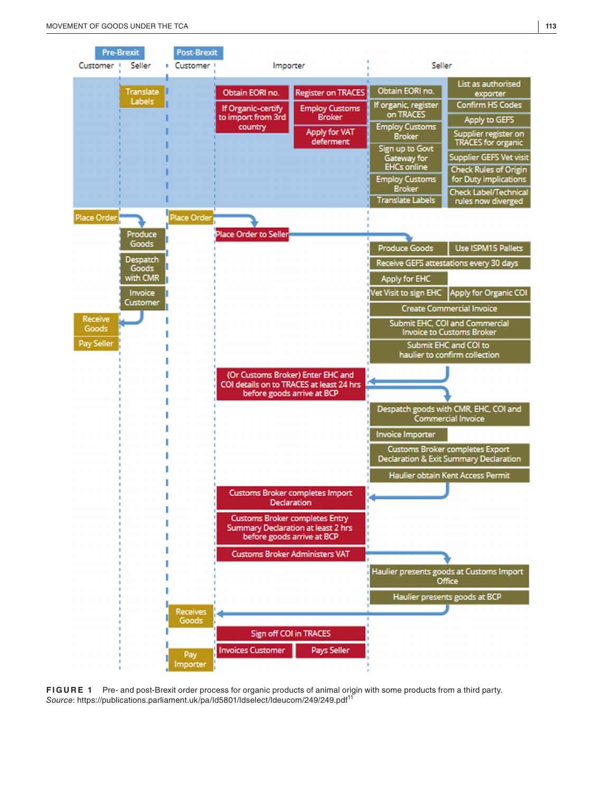

**FIGURE 1** Pre- and post-Brexit order process for organic products of animal origin with some products from a third party. *Source*:<https://publications.parliament.uk/pa/ld5801/ldselect/ldeucom/249/249.pdf><sup>11</sup>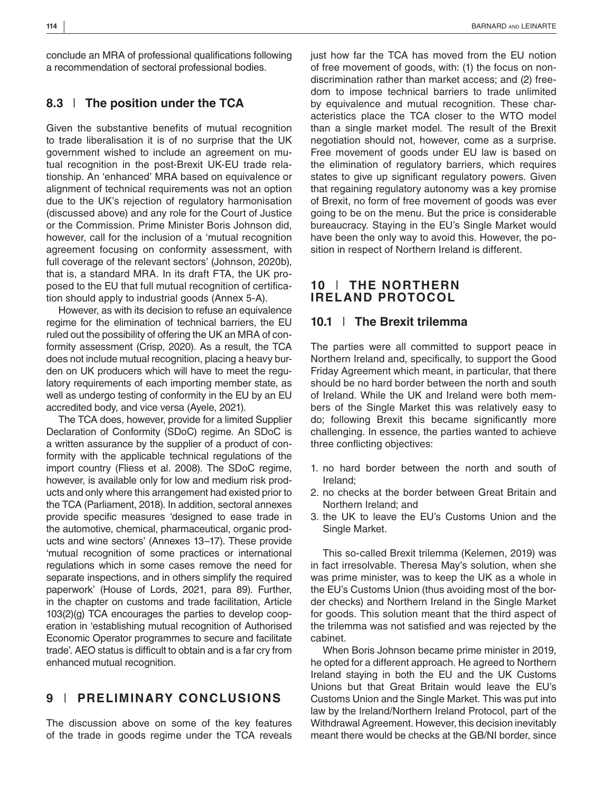conclude an MRA of professional qualifications following a recommendation of sectoral professional bodies.

#### **8.3** | **The position under the TCA**

Given the substantive benefits of mutual recognition to trade liberalisation it is of no surprise that the UK government wished to include an agreement on mutual recognition in the post-Brexit UK-EU trade relationship. An 'enhanced' MRA based on equivalence or alignment of technical requirements was not an option due to the UK's rejection of regulatory harmonisation (discussed above) and any role for the Court of Justice or the Commission. Prime Minister Boris Johnson did, however, call for the inclusion of a 'mutual recognition agreement focusing on conformity assessment, with full coverage of the relevant sectors' (Johnson, 2020b), that is, a standard MRA. In its draft FTA, the UK proposed to the EU that full mutual recognition of certification should apply to industrial goods (Annex 5-A).

However, as with its decision to refuse an equivalence regime for the elimination of technical barriers, the EU ruled out the possibility of offering the UK an MRA of conformity assessment (Crisp, 2020). As a result, the TCA does not include mutual recognition, placing a heavy burden on UK producers which will have to meet the regulatory requirements of each importing member state, as well as undergo testing of conformity in the EU by an EU accredited body, and vice versa (Ayele, 2021).

The TCA does, however, provide for a limited Supplier Declaration of Conformity (SDoC) regime. An SDoC is a written assurance by the supplier of a product of conformity with the applicable technical regulations of the import country (Fliess et al. 2008). The SDoC regime, however, is available only for low and medium risk products and only where this arrangement had existed prior to the TCA (Parliament, 2018). In addition, sectoral annexes provide specific measures 'designed to ease trade in the automotive, chemical, pharmaceutical, organic products and wine sectors' (Annexes 13–17). These provide 'mutual recognition of some practices or international regulations which in some cases remove the need for separate inspections, and in others simplify the required paperwork' (House of Lords, 2021, para 89). Further, in the chapter on customs and trade facilitation, Article 103(2)(g) TCA encourages the parties to develop cooperation in 'establishing mutual recognition of Authorised Economic Operator programmes to secure and facilitate trade'. AEO status is difficult to obtain and is a far cry from enhanced mutual recognition.

# **9** | **PRELIMINARY CONCLUSIONS**

The discussion above on some of the key features of the trade in goods regime under the TCA reveals just how far the TCA has moved from the EU notion of free movement of goods, with: (1) the focus on nondiscrimination rather than market access; and (2) freedom to impose technical barriers to trade unlimited by equivalence and mutual recognition. These characteristics place the TCA closer to the WTO model than a single market model. The result of the Brexit negotiation should not, however, come as a surprise. Free movement of goods under EU law is based on the elimination of regulatory barriers, which requires states to give up significant regulatory powers. Given that regaining regulatory autonomy was a key promise of Brexit, no form of free movement of goods was ever going to be on the menu. But the price is considerable bureaucracy. Staying in the EU's Single Market would have been the only way to avoid this. However, the position in respect of Northern Ireland is different.

#### **10** | **THE NORTHERN IRELAND PROTOCOL**

#### **10.1** | **The Brexit trilemma**

The parties were all committed to support peace in Northern Ireland and, specifically, to support the Good Friday Agreement which meant, in particular, that there should be no hard border between the north and south of Ireland. While the UK and Ireland were both members of the Single Market this was relatively easy to do; following Brexit this became significantly more challenging. In essence, the parties wanted to achieve three conflicting objectives:

- 1. no hard border between the north and south of Ireland;
- 2. no checks at the border between Great Britain and Northern Ireland; and
- 3. the UK to leave the EU's Customs Union and the Single Market.

This so-called Brexit trilemma (Kelemen, 2019) was in fact irresolvable. Theresa May's solution, when she was prime minister, was to keep the UK as a whole in the EU's Customs Union (thus avoiding most of the border checks) and Northern Ireland in the Single Market for goods. This solution meant that the third aspect of the trilemma was not satisfied and was rejected by the cabinet.

When Boris Johnson became prime minister in 2019, he opted for a different approach. He agreed to Northern Ireland staying in both the EU and the UK Customs Unions but that Great Britain would leave the EU's Customs Union and the Single Market. This was put into law by the Ireland/Northern Ireland Protocol, part of the Withdrawal Agreement. However, this decision inevitably meant there would be checks at the GB/NI border, since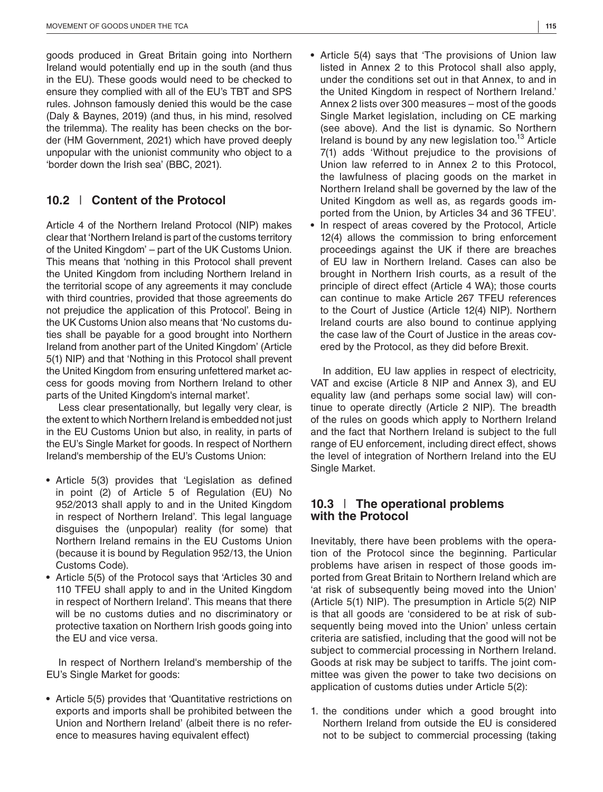goods produced in Great Britain going into Northern Ireland would potentially end up in the south (and thus in the EU). These goods would need to be checked to ensure they complied with all of the EU's TBT and SPS rules. Johnson famously denied this would be the case (Daly & Baynes, 2019) (and thus, in his mind, resolved the trilemma). The reality has been checks on the border (HM Government, 2021) which have proved deeply unpopular with the unionist community who object to a 'border down the Irish sea' (BBC, 2021).

# **10.2** | **Content of the Protocol**

Article 4 of the Northern Ireland Protocol (NIP) makes clear that 'Northern Ireland is part of the customs territory of the United Kingdom' – part of the UK Customs Union. This means that 'nothing in this Protocol shall prevent the United Kingdom from including Northern Ireland in the territorial scope of any agreements it may conclude with third countries, provided that those agreements do not prejudice the application of this Protocol'. Being in the UK Customs Union also means that 'No customs duties shall be payable for a good brought into Northern Ireland from another part of the United Kingdom' (Article 5(1) NIP) and that 'Nothing in this Protocol shall prevent the United Kingdom from ensuring unfettered market access for goods moving from Northern Ireland to other parts of the United Kingdom's internal market'.

Less clear presentationally, but legally very clear, is the extent to which Northern Ireland is embedded not just in the EU Customs Union but also, in reality, in parts of the EU's Single Market for goods. In respect of Northern Ireland's membership of the EU's Customs Union:

- **•** Article 5(3) provides that 'Legislation as defined in point (2) of Article 5 of Regulation (EU) No 952/2013 shall apply to and in the United Kingdom in respect of Northern Ireland'. This legal language disguises the (unpopular) reality (for some) that Northern Ireland remains in the EU Customs Union (because it is bound by Regulation 952/13, the Union Customs Code).
- **•** Article 5(5) of the Protocol says that 'Articles 30 and 110 TFEU shall apply to and in the United Kingdom in respect of Northern Ireland'. This means that there will be no customs duties and no discriminatory or protective taxation on Northern Irish goods going into the EU and vice versa.

In respect of Northern Ireland's membership of the EU's Single Market for goods:

**•** Article 5(5) provides that 'Quantitative restrictions on exports and imports shall be prohibited between the Union and Northern Ireland' (albeit there is no reference to measures having equivalent effect)

- Annex 2 lists over 300 measures most of the goods Single Market legislation, including on CE marking (see above). And the list is dynamic. So Northern Ireland is bound by any new legislation too.<sup>13</sup> Article 7(1) adds 'Without prejudice to the provisions of Union law referred to in Annex 2 to this Protocol, the lawfulness of placing goods on the market in Northern Ireland shall be governed by the law of the United Kingdom as well as, as regards goods imported from the Union, by Articles 34 and 36 TFEU'.
- **•** In respect of areas covered by the Protocol, Article 12(4) allows the commission to bring enforcement proceedings against the UK if there are breaches of EU law in Northern Ireland. Cases can also be brought in Northern Irish courts, as a result of the principle of direct effect (Article 4 WA); those courts can continue to make Article 267 TFEU references to the Court of Justice (Article 12(4) NIP). Northern Ireland courts are also bound to continue applying the case law of the Court of Justice in the areas covered by the Protocol, as they did before Brexit.

In addition, EU law applies in respect of electricity, VAT and excise (Article 8 NIP and Annex 3), and EU equality law (and perhaps some social law) will continue to operate directly (Article 2 NIP). The breadth of the rules on goods which apply to Northern Ireland and the fact that Northern Ireland is subject to the full range of EU enforcement, including direct effect, shows the level of integration of Northern Ireland into the EU Single Market.

#### **10.3** | **The operational problems with the Protocol**

Inevitably, there have been problems with the operation of the Protocol since the beginning. Particular problems have arisen in respect of those goods imported from Great Britain to Northern Ireland which are 'at risk of subsequently being moved into the Union' (Article 5(1) NIP). The presumption in Article 5(2) NIP is that all goods are 'considered to be at risk of subsequently being moved into the Union' unless certain criteria are satisfied, including that the good will not be subject to commercial processing in Northern Ireland. Goods at risk may be subject to tariffs. The joint committee was given the power to take two decisions on application of customs duties under Article 5(2):

1. the conditions under which a good brought into Northern Ireland from outside the EU is considered not to be subject to commercial processing (taking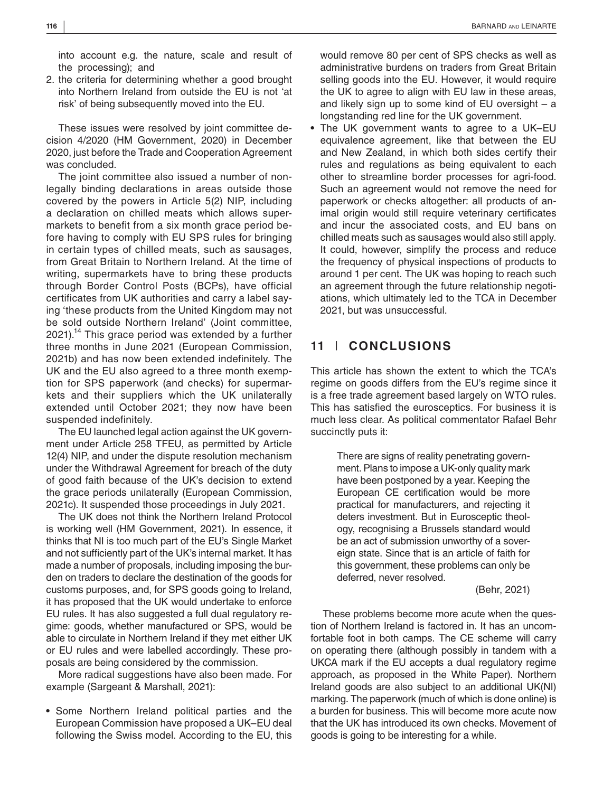into account e.g. the nature, scale and result of the processing); and

2. the criteria for determining whether a good brought into Northern Ireland from outside the EU is not 'at risk' of being subsequently moved into the EU.

These issues were resolved by joint committee decision 4/2020 (HM Government, 2020) in December 2020, just before the Trade and Cooperation Agreement was concluded.

The joint committee also issued a number of nonlegally binding declarations in areas outside those covered by the powers in Article 5(2) NIP, including a declaration on chilled meats which allows supermarkets to benefit from a six month grace period before having to comply with EU SPS rules for bringing in certain types of chilled meats, such as sausages, from Great Britain to Northern Ireland. At the time of writing, supermarkets have to bring these products through Border Control Posts (BCPs), have official certificates from UK authorities and carry a label saying 'these products from the United Kingdom may not be sold outside Northern Ireland' (Joint committee,  $2021$ ).<sup>14</sup> This grace period was extended by a further three months in June 2021 (European Commission, 2021b) and has now been extended indefinitely. The UK and the EU also agreed to a three month exemption for SPS paperwork (and checks) for supermarkets and their suppliers which the UK unilaterally extended until October 2021; they now have been suspended indefinitely.

The EU launched legal action against the UK government under Article 258 TFEU, as permitted by Article 12(4) NIP, and under the dispute resolution mechanism under the Withdrawal Agreement for breach of the duty of good faith because of the UK's decision to extend the grace periods unilaterally (European Commission, 2021c). It suspended those proceedings in July 2021.

The UK does not think the Northern Ireland Protocol is working well (HM Government, 2021). In essence, it thinks that NI is too much part of the EU's Single Market and not sufficiently part of the UK's internal market. It has made a number of proposals, including imposing the burden on traders to declare the destination of the goods for customs purposes, and, for SPS goods going to Ireland, it has proposed that the UK would undertake to enforce EU rules. It has also suggested a full dual regulatory regime: goods, whether manufactured or SPS, would be able to circulate in Northern Ireland if they met either UK or EU rules and were labelled accordingly. These proposals are being considered by the commission.

More radical suggestions have also been made. For example (Sargeant & Marshall, 2021):

**•** Some Northern Ireland political parties and the European Commission have proposed a UK–EU deal following the Swiss model. According to the EU, this

would remove 80 per cent of SPS checks as well as administrative burdens on traders from Great Britain selling goods into the EU. However, it would require the UK to agree to align with EU law in these areas, and likely sign up to some kind of EU oversight – a longstanding red line for the UK government.

**•** The UK government wants to agree to a UK–EU equivalence agreement, like that between the EU and New Zealand, in which both sides certify their rules and regulations as being equivalent to each other to streamline border processes for agri-food. Such an agreement would not remove the need for paperwork or checks altogether: all products of animal origin would still require veterinary certificates and incur the associated costs, and EU bans on chilled meats such as sausages would also still apply. It could, however, simplify the process and reduce the frequency of physical inspections of products to around 1 per cent. The UK was hoping to reach such an agreement through the future relationship negotiations, which ultimately led to the TCA in December 2021, but was unsuccessful.

# **11** | **CONCLUSIONS**

This article has shown the extent to which the TCA's regime on goods differs from the EU's regime since it is a free trade agreement based largely on WTO rules. This has satisfied the eurosceptics. For business it is much less clear. As political commentator Rafael Behr succinctly puts it:

> There are signs of reality penetrating government. Plans to impose a UK-only quality mark have been postponed by a year. Keeping the European CE certification would be more practical for manufacturers, and rejecting it deters investment. But in Eurosceptic theology, recognising a Brussels standard would be an act of submission unworthy of a sovereign state. Since that is an article of faith for this government, these problems can only be deferred, never resolved.

> > (Behr, 2021)

These problems become more acute when the question of Northern Ireland is factored in. It has an uncomfortable foot in both camps. The CE scheme will carry on operating there (although possibly in tandem with a UKCA mark if the EU accepts a dual regulatory regime approach, as proposed in the White Paper). Northern Ireland goods are also subject to an additional UK(NI) marking. The paperwork (much of which is done online) is a burden for business. This will become more acute now that the UK has introduced its own checks. Movement of goods is going to be interesting for a while.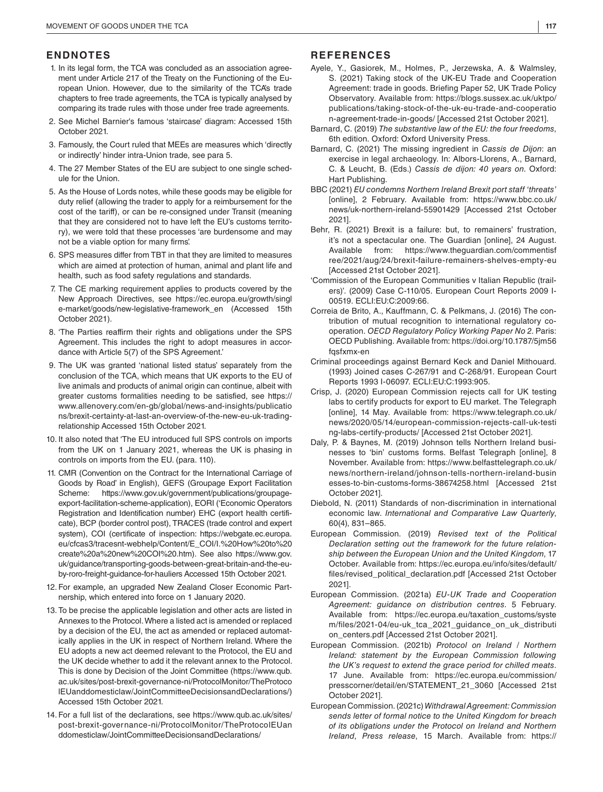#### **ENDNOTES**

- 1. In its legal form, the TCA was concluded as an association agreement under Article 217 of the Treaty on the Functioning of the European Union. However, due to the similarity of the TCA's trade chapters to free trade agreements, the TCA is typically analysed by comparing its trade rules with those under free trade agreements.
- 2. See Michel Barnier's famous 'staircase' diagram: Accessed 15th October 2021.
- 3. Famously, the Court ruled that MEEs are measures which 'directly or indirectly' hinder intra-Union trade, see para 5.
- 4. The 27 Member States of the EU are subject to one single schedule for the Union.
- 5. As the House of Lords notes, while these goods may be eligible for duty relief (allowing the trader to apply for a reimbursement for the cost of the tariff), or can be re-consigned under Transit (meaning that they are considered not to have left the EU's customs territory), we were told that these processes 'are burdensome and may not be a viable option for many firms'.
- 6. SPS measures differ from TBT in that they are limited to measures which are aimed at protection of human, animal and plant life and health, such as food safety regulations and standards.
- 7. The CE marking requirement applies to products covered by the New Approach Directives, see [https://ec.europa.eu/growth/singl](https://ec.europa.eu/growth/single-market/goods/new-legislative-framework_en) [e-market/goods/new-legislative-framework\\_en](https://ec.europa.eu/growth/single-market/goods/new-legislative-framework_en) (Accessed 15th October 2021).
- 8. 'The Parties reaffirm their rights and obligations under the SPS Agreement. This includes the right to adopt measures in accordance with Article 5(7) of the SPS Agreement.'
- 9. The UK was granted 'national listed status' separately from the conclusion of the TCA, which means that UK exports to the EU of live animals and products of animal origin can continue, albeit with greater customs formalities needing to be satisfied, see [https://](https://www.allenovery.com/en-gb/global/news-and-insights/publications/brexit-certainty-at-last-an-overview-of-the-new-eu-uk-trading-relationship://www.allenovery.com/en-gb/global/news-and-insights/publications/brexit-certainty-at-last-an-overview-of-the-new-eu-uk-trading-relationship) [www.allenovery.com/en-gb/global/news-and-insights/publicatio](https://www.allenovery.com/en-gb/global/news-and-insights/publications/brexit-certainty-at-last-an-overview-of-the-new-eu-uk-trading-relationship://www.allenovery.com/en-gb/global/news-and-insights/publications/brexit-certainty-at-last-an-overview-of-the-new-eu-uk-trading-relationship) [ns/brexit-certainty-at-last-an-overview-of-the-new-eu-uk-trading](https://www.allenovery.com/en-gb/global/news-and-insights/publications/brexit-certainty-at-last-an-overview-of-the-new-eu-uk-trading-relationship://www.allenovery.com/en-gb/global/news-and-insights/publications/brexit-certainty-at-last-an-overview-of-the-new-eu-uk-trading-relationship)[relationship](https://www.allenovery.com/en-gb/global/news-and-insights/publications/brexit-certainty-at-last-an-overview-of-the-new-eu-uk-trading-relationship://www.allenovery.com/en-gb/global/news-and-insights/publications/brexit-certainty-at-last-an-overview-of-the-new-eu-uk-trading-relationship) Accessed 15th October 2021.
- 10. It also noted that 'The EU introduced full SPS controls on imports from the UK on 1 January 2021, whereas the UK is phasing in controls on imports from the EU. (para. 110).
- 11. CMR (Convention on the Contract for the International Carriage of Goods by Road' in English), GEFS (Groupage Export Facilitation Scheme: [https://www.gov.uk/government/publications/groupage](https://www.gov.uk/government/publications/groupage-export-facilitation-scheme-application://www.gov.uk/government/publications/groupage-export-facilitation-scheme-application)[export-facilitation-scheme-application\)](https://www.gov.uk/government/publications/groupage-export-facilitation-scheme-application://www.gov.uk/government/publications/groupage-export-facilitation-scheme-application), EORI ('Economic Operators Registration and Identification number) EHC (export health certificate), BCP (border control post), TRACES (trade control and expert system), COI (certificate of inspection: [https://webgate.ec.europa.](https://webgate.ec.europa.eu/cfcas3/tracesnt-webhelp/Content/E_COI/I. How to create a new COI .htm://webgate.ec.europa.eu/cfcas3/tracesnt-webhelp/Content/E_COI/I. How to create a new COI .htm) [eu/cfcas3/tracesnt-webhelp/Content/E\\_COI/I.%20How%20to%20](https://webgate.ec.europa.eu/cfcas3/tracesnt-webhelp/Content/E_COI/I. How to create a new COI .htm://webgate.ec.europa.eu/cfcas3/tracesnt-webhelp/Content/E_COI/I. How to create a new COI .htm) [create%20a%20new%20COI%20.htm\)](https://webgate.ec.europa.eu/cfcas3/tracesnt-webhelp/Content/E_COI/I. How to create a new COI .htm://webgate.ec.europa.eu/cfcas3/tracesnt-webhelp/Content/E_COI/I. How to create a new COI .htm). See also [https://www.gov.](https://www.gov.uk/guidance/transporting-goods-between-great-britain-and-the-eu-by-roro-freight-guidance-for-hauliers) [uk/guidance/transporting-goods-between-great-britain-and-the-eu](https://www.gov.uk/guidance/transporting-goods-between-great-britain-and-the-eu-by-roro-freight-guidance-for-hauliers)[by-roro-freight-guidance-for-hauliers](https://www.gov.uk/guidance/transporting-goods-between-great-britain-and-the-eu-by-roro-freight-guidance-for-hauliers) Accessed 15th October 2021.
- 12.For example, an upgraded New Zealand Closer Economic Partnership, which entered into force on 1 January 2020.
- 13.To be precise the applicable legislation and other acts are listed in Annexes to the Protocol. Where a listed act is amended or replaced by a decision of the EU, the act as amended or replaced automatically applies in the UK in respect of Northern Ireland. Where the EU adopts a new act deemed relevant to the Protocol, the EU and the UK decide whether to add it the relevant annex to the Protocol. This is done by Decision of the Joint Committee [\(https://www.qub.](https://www.qub.ac.uk/sites/post-brexit-governance-ni/ProtocolMonitor/TheProtocolEUanddomesticlaw/JointCommitteeDecisionsandDeclarations/) [ac.uk/sites/post-brexit-governance-ni/ProtocolMonitor/TheProtoco](https://www.qub.ac.uk/sites/post-brexit-governance-ni/ProtocolMonitor/TheProtocolEUanddomesticlaw/JointCommitteeDecisionsandDeclarations/) [lEUanddomesticlaw/JointCommitteeDecisionsandDeclarations/\)](https://www.qub.ac.uk/sites/post-brexit-governance-ni/ProtocolMonitor/TheProtocolEUanddomesticlaw/JointCommitteeDecisionsandDeclarations/) Accessed 15th October 2021.
- 14.For a full list of the declarations, see [https://www.qub.ac.uk/sites/](https://www.qub.ac.uk/sites/post-brexit-governance-ni/ProtocolMonitor/TheProtocolEUanddomesticlaw/JointCommitteeDecisionsandDeclarations/://www.qub.ac.uk/sites/post-brexit-governance-ni/ProtocolMonitor/TheProtocolEUanddomesticlaw/JointCommitteeDecisionsandDeclarations/) [post-brexit-governance-ni/ProtocolMonitor/TheProtocolEUan](https://www.qub.ac.uk/sites/post-brexit-governance-ni/ProtocolMonitor/TheProtocolEUanddomesticlaw/JointCommitteeDecisionsandDeclarations/://www.qub.ac.uk/sites/post-brexit-governance-ni/ProtocolMonitor/TheProtocolEUanddomesticlaw/JointCommitteeDecisionsandDeclarations/) [ddomesticlaw/JointCommitteeDecisionsandDeclarations/](https://www.qub.ac.uk/sites/post-brexit-governance-ni/ProtocolMonitor/TheProtocolEUanddomesticlaw/JointCommitteeDecisionsandDeclarations/://www.qub.ac.uk/sites/post-brexit-governance-ni/ProtocolMonitor/TheProtocolEUanddomesticlaw/JointCommitteeDecisionsandDeclarations/)

#### **REFERENCES**

- Ayele, Y., Gasiorek, M., Holmes, P., Jerzewska, A. & Walmsley, S. (2021) Taking stock of the UK-EU Trade and Cooperation Agreement: trade in goods. Briefing Paper 52, UK Trade Policy Observatory. Available from: [https://blogs.sussex.ac.uk/uktpo/](https://blogs.sussex.ac.uk/uktpo/publications/taking-stock-of-the-uk-eu-trade-and-cooperation-agreement-trade-in-goods/) [publications/taking-stock-of-the-uk-eu-trade-and-cooperatio](https://blogs.sussex.ac.uk/uktpo/publications/taking-stock-of-the-uk-eu-trade-and-cooperation-agreement-trade-in-goods/) [n-agreement-trade-in-goods/](https://blogs.sussex.ac.uk/uktpo/publications/taking-stock-of-the-uk-eu-trade-and-cooperation-agreement-trade-in-goods/) [Accessed 21st October 2021].
- Barnard, C. (2019) *The substantive law of the EU: the four freedoms*, 6th edition. Oxford: Oxford University Press.
- Barnard, C. (2021) The missing ingredient in *Cassis de Dijon*: an exercise in legal archaeology. In: Albors-Llorens, A., Barnard, C. & Leucht, B. (Eds.) *Cassis de dijon: 40 years on*. Oxford: Hart Publishing.
- BBC (2021) *EU condemns Northern Ireland Brexit port staff 'threats'* [online], 2 February. Available from: [https://www.bbc.co.uk/](https://www.bbc.co.uk/news/uk-northern-ireland-55901429) [news/uk-northern-ireland-55901429](https://www.bbc.co.uk/news/uk-northern-ireland-55901429) [Accessed 21st October 2021].
- Behr, R. (2021) Brexit is a failure: but, to remainers' frustration, it's not a spectacular one. The Guardian [online], 24 August. Available from: [https://www.theguardian.com/commentisf](https://www.theguardian.com/commentisfree/2021/aug/24/brexit-failure-remainers-shelves-empty-eu) [ree/2021/aug/24/brexit-failure-remainers-shelves-empty-eu](https://www.theguardian.com/commentisfree/2021/aug/24/brexit-failure-remainers-shelves-empty-eu)  [Accessed 21st October 2021].
- 'Commission of the European Communities v Italian Republic (trailers)'. (2009) Case C-110/05. European Court Reports 2009 I-00519. ECLI:EU:C:2009:66.
- Correia de Brito, A., Kauffmann, C. & Pelkmans, J. (2016) The contribution of mutual recognition to international regulatory cooperation. *OECD Regulatory Policy Working Paper No 2*. Paris: OECD Publishing. Available from: [https://doi.org/10.1787/5jm56](https://doi.org/10.1787/5jm56fqsfxmx-en) [fqsfxmx-en](https://doi.org/10.1787/5jm56fqsfxmx-en)
- Criminal proceedings against Bernard Keck and Daniel Mithouard. (1993) Joined cases C-267/91 and C-268/91. European Court Reports 1993 I-06097. ECLI:EU:C:1993:905.
- Crisp, J. (2020) European Commission rejects call for UK testing labs to certify products for export to EU market. The Telegraph [online], 14 May. Available from: [https://www.telegraph.co.uk/](https://www.telegraph.co.uk/news/2020/05/14/european-commission-rejects-call-uk-testing-labs-certify-products/) [news/2020/05/14/european-commission-rejects-call-uk-testi](https://www.telegraph.co.uk/news/2020/05/14/european-commission-rejects-call-uk-testing-labs-certify-products/) [ng-labs-certify-products/](https://www.telegraph.co.uk/news/2020/05/14/european-commission-rejects-call-uk-testing-labs-certify-products/) [Accessed 21st October 2021].
- Daly, P. & Baynes, M. (2019) Johnson tells Northern Ireland businesses to 'bin' customs forms. Belfast Telegraph [online], 8 November. Available from: [https://www.belfasttelegraph.co.uk/](https://www.belfasttelegraph.co.uk/news/northern-ireland/johnson-tells-northern-ireland-businesses-to-bin-customs-forms-38674258.html) [news/northern-ireland/johnson-tells-northern-ireland-busin](https://www.belfasttelegraph.co.uk/news/northern-ireland/johnson-tells-northern-ireland-businesses-to-bin-customs-forms-38674258.html) [esses-to-bin-customs-forms-38674258.html](https://www.belfasttelegraph.co.uk/news/northern-ireland/johnson-tells-northern-ireland-businesses-to-bin-customs-forms-38674258.html) [Accessed 21st October 2021].
- Diebold, N. (2011) Standards of non-discrimination in international economic law. *International and Comparative Law Quarterly*, 60(4), 831–865.
- European Commission. (2019) *Revised text of the Political Declaration setting out the framework for the future relationship between the European Union and the United Kingdom*, 17 October. Available from: [https://ec.europa.eu/info/sites/default/](https://ec.europa.eu/info/sites/default/files/revised_political_declaration.pdf) [files/revised\\_political\\_declaration.pdf](https://ec.europa.eu/info/sites/default/files/revised_political_declaration.pdf) [Accessed 21st October 2021].
- European Commission. (2021a) *EU-UK Trade and Cooperation Agreement: guidance on distribution centres*. 5 February. Available from: [https://ec.europa.eu/taxation\\_customs/syste](https://ec.europa.eu/taxation_customs/system/files/2021-04/eu-uk_tca_2021_guidance_on_uk_distribution_centers.pdf) [m/files/2021-04/eu-uk\\_tca\\_2021\\_guidance\\_on\\_uk\\_distributi](https://ec.europa.eu/taxation_customs/system/files/2021-04/eu-uk_tca_2021_guidance_on_uk_distribution_centers.pdf) [on\\_centers.pdf](https://ec.europa.eu/taxation_customs/system/files/2021-04/eu-uk_tca_2021_guidance_on_uk_distribution_centers.pdf) [Accessed 21st October 2021].
- European Commission. (2021b) *Protocol on Ireland / Northern Ireland: statement by the European Commission following the UK's request to extend the grace period for chilled meats*. 17 June. Available from: [https://ec.europa.eu/commission/](https://ec.europa.eu/commission/presscorner/detail/en/STATEMENT_21_3060) [presscorner/detail/en/STATEMENT\\_21\\_3060](https://ec.europa.eu/commission/presscorner/detail/en/STATEMENT_21_3060) [Accessed 21st October 2021].
- European Commission. (2021c) *Withdrawal Agreement: Commission sends letter of formal notice to the United Kingdom for breach of its obligations under the Protocol on Ireland and Northern Ireland*, *Press release*, 15 March. Available from: [https://](https://ec.europa.eu/commission/presscorner/detail/en/IP_21_1132)